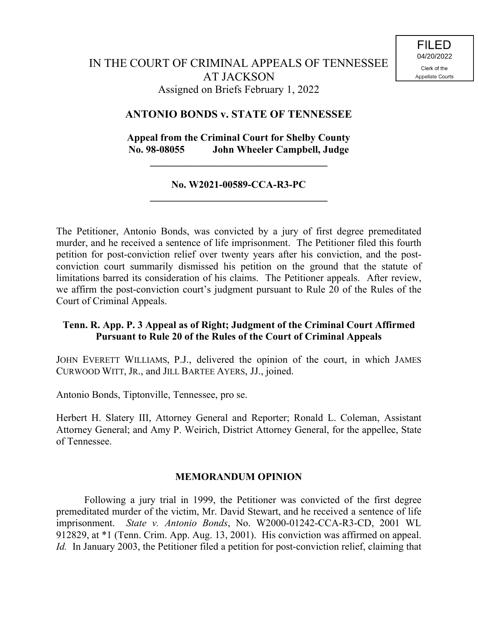## **ANTONIO BONDS v. STATE OF TENNESSEE**

# **Appeal from the Criminal Court for Shelby County No. 98-08055 John Wheeler Campbell, Judge**

**\_\_\_\_\_\_\_\_\_\_\_\_\_\_\_\_\_\_\_\_\_\_\_\_\_\_\_\_\_\_\_\_\_\_\_**

#### **No. W2021-00589-CCA-R3-PC \_\_\_\_\_\_\_\_\_\_\_\_\_\_\_\_\_\_\_\_\_\_\_\_\_\_\_\_\_\_\_\_\_\_\_**

The Petitioner, Antonio Bonds, was convicted by a jury of first degree premeditated murder, and he received a sentence of life imprisonment. The Petitioner filed this fourth petition for post-conviction relief over twenty years after his conviction, and the postconviction court summarily dismissed his petition on the ground that the statute of limitations barred its consideration of his claims. The Petitioner appeals. After review, we affirm the post-conviction court's judgment pursuant to Rule 20 of the Rules of the Court of Criminal Appeals.

# **Tenn. R. App. P. 3 Appeal as of Right; Judgment of the Criminal Court Affirmed Pursuant to Rule 20 of the Rules of the Court of Criminal Appeals**

JOHN EVERETT WILLIAMS, P.J., delivered the opinion of the court, in which JAMES CURWOOD WITT, JR., and JILL BARTEE AYERS, JJ., joined.

Antonio Bonds, Tiptonville, Tennessee, pro se.

Herbert H. Slatery III, Attorney General and Reporter; Ronald L. Coleman, Assistant Attorney General; and Amy P. Weirich, District Attorney General, for the appellee, State of Tennessee.

#### **MEMORANDUM OPINION**

Following a jury trial in 1999, the Petitioner was convicted of the first degree premeditated murder of the victim, Mr. David Stewart, and he received a sentence of life imprisonment. *State v. Antonio Bonds*, No. W2000-01242-CCA-R3-CD, 2001 WL 912829, at \*1 (Tenn. Crim. App. Aug. 13, 2001). His conviction was affirmed on appeal. *Id.* In January 2003, the Petitioner filed a petition for post-conviction relief, claiming that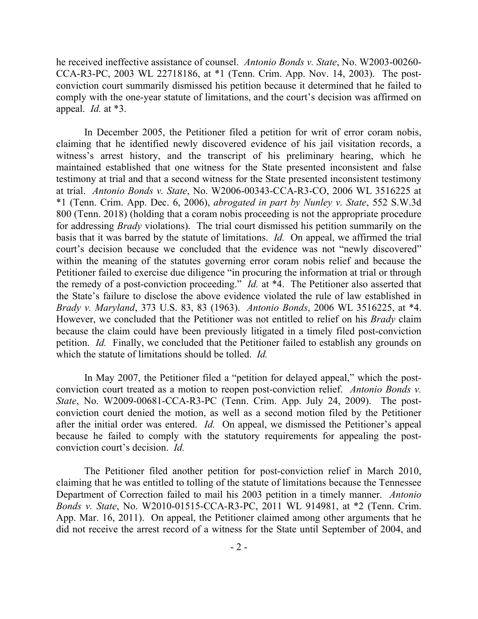he received ineffective assistance of counsel. *Antonio Bonds v. State*, No. W2003-00260- CCA-R3-PC, 2003 WL 22718186, at \*1 (Tenn. Crim. App. Nov. 14, 2003). The postconviction court summarily dismissed his petition because it determined that he failed to comply with the one-year statute of limitations, and the court's decision was affirmed on appeal. *Id.* at \*3.

In December 2005, the Petitioner filed a petition for writ of error coram nobis, claiming that he identified newly discovered evidence of his jail visitation records, a witness's arrest history, and the transcript of his preliminary hearing, which he maintained established that one witness for the State presented inconsistent and false testimony at trial and that a second witness for the State presented inconsistent testimony at trial. *Antonio Bonds v. State*, No. W2006-00343-CCA-R3-CO, 2006 WL 3516225 at \*1 (Tenn. Crim. App. Dec. 6, 2006), *abrogated in part by Nunley v. State*, 552 S.W.3d 800 (Tenn. 2018) (holding that a coram nobis proceeding is not the appropriate procedure for addressing *Brady* violations). The trial court dismissed his petition summarily on the basis that it was barred by the statute of limitations. *Id.* On appeal, we affirmed the trial court's decision because we concluded that the evidence was not "newly discovered" within the meaning of the statutes governing error coram nobis relief and because the Petitioner failed to exercise due diligence "in procuring the information at trial or through the remedy of a post-conviction proceeding." *Id.* at \*4. The Petitioner also asserted that the State's failure to disclose the above evidence violated the rule of law established in *Brady v. Maryland*, 373 U.S. 83, 83 (1963). *Antonio Bonds*, 2006 WL 3516225, at \*4. However, we concluded that the Petitioner was not entitled to relief on his *Brady* claim because the claim could have been previously litigated in a timely filed post-conviction petition. *Id.* Finally, we concluded that the Petitioner failed to establish any grounds on which the statute of limitations should be tolled. *Id.*

In May 2007, the Petitioner filed a "petition for delayed appeal," which the postconviction court treated as a motion to reopen post-conviction relief. *Antonio Bonds v. State*, No. W2009-00681-CCA-R3-PC (Tenn. Crim. App. July 24, 2009). The postconviction court denied the motion, as well as a second motion filed by the Petitioner after the initial order was entered. *Id.* On appeal, we dismissed the Petitioner's appeal because he failed to comply with the statutory requirements for appealing the postconviction court's decision. *Id.*

The Petitioner filed another petition for post-conviction relief in March 2010, claiming that he was entitled to tolling of the statute of limitations because the Tennessee Department of Correction failed to mail his 2003 petition in a timely manner. *Antonio Bonds v. State*, No. W2010-01515-CCA-R3-PC, 2011 WL 914981, at \*2 (Tenn. Crim. App. Mar. 16, 2011). On appeal, the Petitioner claimed among other arguments that he did not receive the arrest record of a witness for the State until September of 2004, and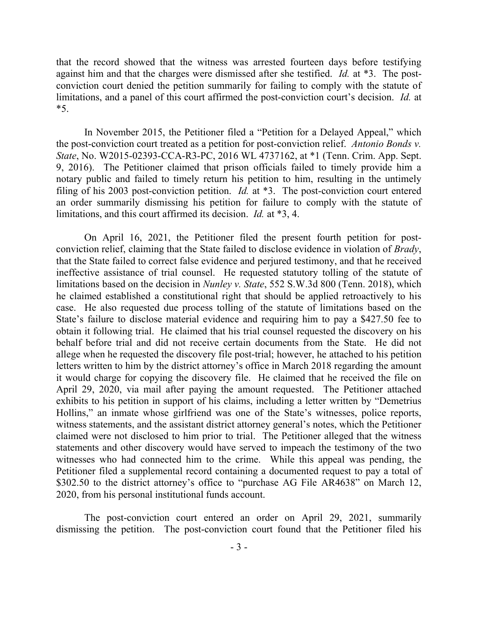that the record showed that the witness was arrested fourteen days before testifying against him and that the charges were dismissed after she testified. *Id.* at \*3. The postconviction court denied the petition summarily for failing to comply with the statute of limitations, and a panel of this court affirmed the post-conviction court's decision. *Id.* at  $*5.$ 

In November 2015, the Petitioner filed a "Petition for a Delayed Appeal," which the post-conviction court treated as a petition for post-conviction relief. *Antonio Bonds v. State*, No. W2015-02393-CCA-R3-PC, 2016 WL 4737162, at \*1 (Tenn. Crim. App. Sept. 9, 2016). The Petitioner claimed that prison officials failed to timely provide him a notary public and failed to timely return his petition to him, resulting in the untimely filing of his 2003 post-conviction petition. *Id.* at \*3. The post-conviction court entered an order summarily dismissing his petition for failure to comply with the statute of limitations, and this court affirmed its decision. *Id.* at \*3, 4.

On April 16, 2021, the Petitioner filed the present fourth petition for postconviction relief, claiming that the State failed to disclose evidence in violation of *Brady*, that the State failed to correct false evidence and perjured testimony, and that he received ineffective assistance of trial counsel. He requested statutory tolling of the statute of limitations based on the decision in *Nunley v. State*, 552 S.W.3d 800 (Tenn. 2018), which he claimed established a constitutional right that should be applied retroactively to his case. He also requested due process tolling of the statute of limitations based on the State's failure to disclose material evidence and requiring him to pay a \$427.50 fee to obtain it following trial. He claimed that his trial counsel requested the discovery on his behalf before trial and did not receive certain documents from the State. He did not allege when he requested the discovery file post-trial; however, he attached to his petition letters written to him by the district attorney's office in March 2018 regarding the amount it would charge for copying the discovery file. He claimed that he received the file on April 29, 2020, via mail after paying the amount requested. The Petitioner attached exhibits to his petition in support of his claims, including a letter written by "Demetrius Hollins," an inmate whose girlfriend was one of the State's witnesses, police reports, witness statements, and the assistant district attorney general's notes, which the Petitioner claimed were not disclosed to him prior to trial. The Petitioner alleged that the witness statements and other discovery would have served to impeach the testimony of the two witnesses who had connected him to the crime. While this appeal was pending, the Petitioner filed a supplemental record containing a documented request to pay a total of \$302.50 to the district attorney's office to "purchase AG File AR4638" on March 12, 2020, from his personal institutional funds account.

The post-conviction court entered an order on April 29, 2021, summarily dismissing the petition. The post-conviction court found that the Petitioner filed his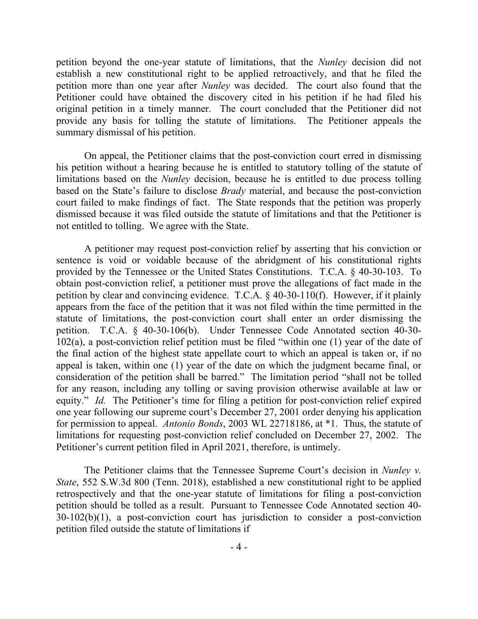petition beyond the one-year statute of limitations, that the *Nunley* decision did not establish a new constitutional right to be applied retroactively, and that he filed the petition more than one year after *Nunley* was decided. The court also found that the Petitioner could have obtained the discovery cited in his petition if he had filed his original petition in a timely manner. The court concluded that the Petitioner did not provide any basis for tolling the statute of limitations. The Petitioner appeals the summary dismissal of his petition.

On appeal, the Petitioner claims that the post-conviction court erred in dismissing his petition without a hearing because he is entitled to statutory tolling of the statute of limitations based on the *Nunley* decision, because he is entitled to due process tolling based on the State's failure to disclose *Brady* material, and because the post-conviction court failed to make findings of fact. The State responds that the petition was properly dismissed because it was filed outside the statute of limitations and that the Petitioner is not entitled to tolling. We agree with the State.

A petitioner may request post-conviction relief by asserting that his conviction or sentence is void or voidable because of the abridgment of his constitutional rights provided by the Tennessee or the United States Constitutions. T.C.A. § 40-30-103. To obtain post-conviction relief, a petitioner must prove the allegations of fact made in the petition by clear and convincing evidence. T.C.A. § 40-30-110(f). However, if it plainly appears from the face of the petition that it was not filed within the time permitted in the statute of limitations, the post-conviction court shall enter an order dismissing the petition. T.C.A. § 40-30-106(b). Under Tennessee Code Annotated section 40-30- 102(a), a post-conviction relief petition must be filed "within one (1) year of the date of the final action of the highest state appellate court to which an appeal is taken or, if no appeal is taken, within one (1) year of the date on which the judgment became final, or consideration of the petition shall be barred." The limitation period "shall not be tolled for any reason, including any tolling or saving provision otherwise available at law or equity." *Id.* The Petitioner's time for filing a petition for post-conviction relief expired one year following our supreme court's December 27, 2001 order denying his application for permission to appeal. *Antonio Bonds*, 2003 WL 22718186, at \*1. Thus, the statute of limitations for requesting post-conviction relief concluded on December 27, 2002. The Petitioner's current petition filed in April 2021, therefore, is untimely.

The Petitioner claims that the Tennessee Supreme Court's decision in *Nunley v. State*, 552 S.W.3d 800 (Tenn. 2018), established a new constitutional right to be applied retrospectively and that the one-year statute of limitations for filing a post-conviction petition should be tolled as a result. Pursuant to Tennessee Code Annotated section 40- 30-102(b)(1), a post-conviction court has jurisdiction to consider a post-conviction petition filed outside the statute of limitations if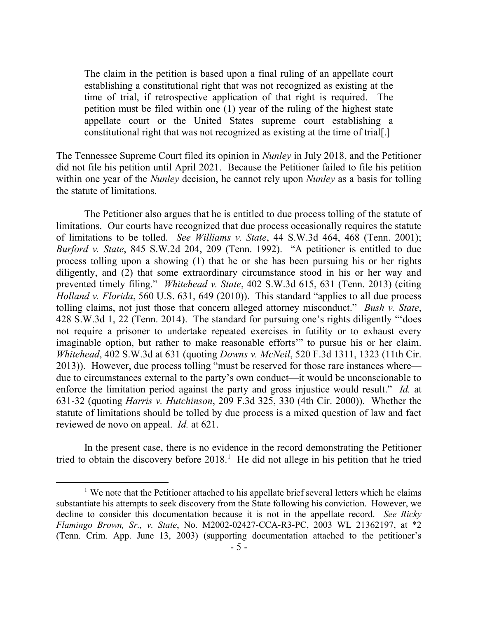The claim in the petition is based upon a final ruling of an appellate court establishing a constitutional right that was not recognized as existing at the time of trial, if retrospective application of that right is required. The petition must be filed within one (1) year of the ruling of the highest state appellate court or the United States supreme court establishing a constitutional right that was not recognized as existing at the time of trial[.]

The Tennessee Supreme Court filed its opinion in *Nunley* in July 2018, and the Petitioner did not file his petition until April 2021. Because the Petitioner failed to file his petition within one year of the *Nunley* decision, he cannot rely upon *Nunley* as a basis for tolling the statute of limitations.

The Petitioner also argues that he is entitled to due process tolling of the statute of limitations. Our courts have recognized that due process occasionally requires the statute of limitations to be tolled. *See Williams v. State*, 44 S.W.3d 464, 468 (Tenn. 2001); *Burford v. State*, 845 S.W.2d 204, 209 (Tenn. 1992). "A petitioner is entitled to due process tolling upon a showing (1) that he or she has been pursuing his or her rights diligently, and (2) that some extraordinary circumstance stood in his or her way and prevented timely filing." *Whitehead v. State*, 402 S.W.3d 615, 631 (Tenn. 2013) (citing *Holland v. Florida*, 560 U.S. 631, 649 (2010)). This standard "applies to all due process tolling claims, not just those that concern alleged attorney misconduct." *Bush v. State*, 428 S.W.3d 1, 22 (Tenn. 2014). The standard for pursuing one's rights diligently "'does not require a prisoner to undertake repeated exercises in futility or to exhaust every imaginable option, but rather to make reasonable efforts'" to pursue his or her claim. *Whitehead*, 402 S.W.3d at 631 (quoting *Downs v. McNeil*, 520 F.3d 1311, 1323 (11th Cir. 2013)). However, due process tolling "must be reserved for those rare instances where due to circumstances external to the party's own conduct—it would be unconscionable to enforce the limitation period against the party and gross injustice would result." *Id.* at 631-32 (quoting *Harris v. Hutchinson*, 209 F.3d 325, 330 (4th Cir. 2000)). Whether the statute of limitations should be tolled by due process is a mixed question of law and fact reviewed de novo on appeal. *Id.* at 621.

In the present case, there is no evidence in the record demonstrating the Petitioner tried to obtain the discovery before  $2018<sup>1</sup>$ . He did not allege in his petition that he tried

 $\overline{a}$ 

<sup>&</sup>lt;sup>1</sup> We note that the Petitioner attached to his appellate brief several letters which he claims substantiate his attempts to seek discovery from the State following his conviction. However, we decline to consider this documentation because it is not in the appellate record. *See Ricky Flamingo Brown, Sr., v. State*, No. M2002-02427-CCA-R3-PC, 2003 WL 21362197, at \*2 (Tenn. Crim. App. June 13, 2003) (supporting documentation attached to the petitioner's